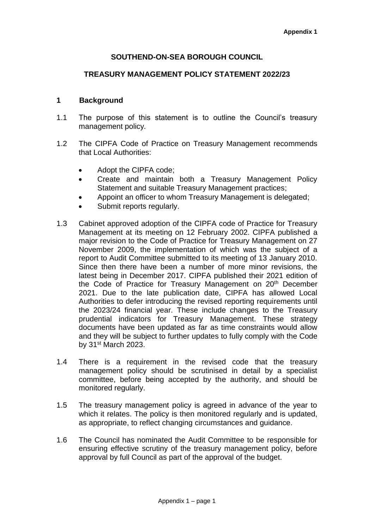## **SOUTHEND-ON-SEA BOROUGH COUNCIL**

#### **TREASURY MANAGEMENT POLICY STATEMENT 2022/23**

#### **1 Background**

- 1.1 The purpose of this statement is to outline the Council's treasury management policy*.*
- 1.2 The CIPFA Code of Practice on Treasury Management recommends that Local Authorities:
	- Adopt the CIPFA code:
	- Create and maintain both a Treasury Management Policy Statement and suitable Treasury Management practices;
	- Appoint an officer to whom Treasury Management is delegated;
	- Submit reports regularly.
- 1.3 Cabinet approved adoption of the CIPFA code of Practice for Treasury Management at its meeting on 12 February 2002. CIPFA published a major revision to the Code of Practice for Treasury Management on 27 November 2009, the implementation of which was the subject of a report to Audit Committee submitted to its meeting of 13 January 2010. Since then there have been a number of more minor revisions, the latest being in December 2017. CIPFA published their 2021 edition of the Code of Practice for Treasury Management on 20<sup>th</sup> December 2021. Due to the late publication date, CIPFA has allowed Local Authorities to defer introducing the revised reporting requirements until the 2023/24 financial year. These include changes to the Treasury prudential indicators for Treasury Management. These strategy documents have been updated as far as time constraints would allow and they will be subject to further updates to fully comply with the Code by  $31<sup>st</sup>$  March 2023.
- 1.4 There is a requirement in the revised code that the treasury management policy should be scrutinised in detail by a specialist committee, before being accepted by the authority, and should be monitored regularly.
- 1.5 The treasury management policy is agreed in advance of the year to which it relates. The policy is then monitored regularly and is updated, as appropriate, to reflect changing circumstances and guidance.
- 1.6 The Council has nominated the Audit Committee to be responsible for ensuring effective scrutiny of the treasury management policy, before approval by full Council as part of the approval of the budget.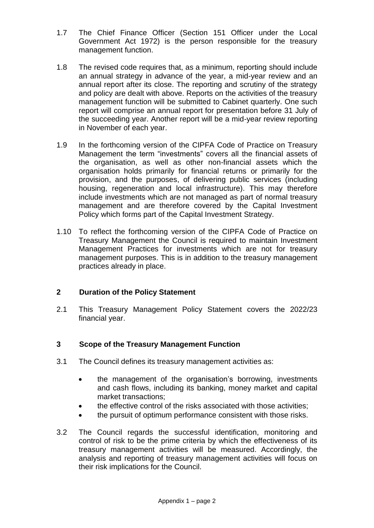- 1.7 The Chief Finance Officer (Section 151 Officer under the Local Government Act 1972) is the person responsible for the treasury management function.
- 1.8 The revised code requires that, as a minimum, reporting should include an annual strategy in advance of the year, a mid-year review and an annual report after its close. The reporting and scrutiny of the strategy and policy are dealt with above. Reports on the activities of the treasury management function will be submitted to Cabinet quarterly. One such report will comprise an annual report for presentation before 31 July of the succeeding year. Another report will be a mid-year review reporting in November of each year.
- 1.9 In the forthcoming version of the CIPFA Code of Practice on Treasury Management the term "investments" covers all the financial assets of the organisation, as well as other non-financial assets which the organisation holds primarily for financial returns or primarily for the provision, and the purposes, of delivering public services (including housing, regeneration and local infrastructure). This may therefore include investments which are not managed as part of normal treasury management and are therefore covered by the Capital Investment Policy which forms part of the Capital Investment Strategy.
- 1.10 To reflect the forthcoming version of the CIPFA Code of Practice on Treasury Management the Council is required to maintain Investment Management Practices for investments which are not for treasury management purposes. This is in addition to the treasury management practices already in place.

# **2 Duration of the Policy Statement**

2.1 This Treasury Management Policy Statement covers the 2022/23 financial year.

# **3 Scope of the Treasury Management Function**

- 3.1 The Council defines its treasury management activities as:
	- the management of the organisation's borrowing, investments and cash flows, including its banking, money market and capital market transactions;
	- the effective control of the risks associated with those activities;
	- the pursuit of optimum performance consistent with those risks.
- 3.2 The Council regards the successful identification, monitoring and control of risk to be the prime criteria by which the effectiveness of its treasury management activities will be measured. Accordingly, the analysis and reporting of treasury management activities will focus on their risk implications for the Council.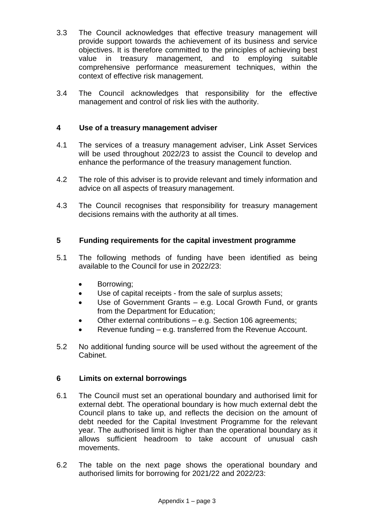- 3.3 The Council acknowledges that effective treasury management will provide support towards the achievement of its business and service objectives. It is therefore committed to the principles of achieving best value in treasury management, and to employing suitable comprehensive performance measurement techniques, within the context of effective risk management.
- 3.4 The Council acknowledges that responsibility for the effective management and control of risk lies with the authority.

# **4 Use of a treasury management adviser**

- 4.1 The services of a treasury management adviser, Link Asset Services will be used throughout 2022/23 to assist the Council to develop and enhance the performance of the treasury management function.
- 4.2 The role of this adviser is to provide relevant and timely information and advice on all aspects of treasury management.
- 4.3 The Council recognises that responsibility for treasury management decisions remains with the authority at all times.

# **5 Funding requirements for the capital investment programme**

- 5.1 The following methods of funding have been identified as being available to the Council for use in 2022/23:
	- Borrowing;
	- Use of capital receipts from the sale of surplus assets;
	- Use of Government Grants e.g. Local Growth Fund, or grants from the Department for Education;
	- Other external contributions e.g. Section 106 agreements;
	- Revenue funding e.g. transferred from the Revenue Account.
- 5.2 No additional funding source will be used without the agreement of the Cabinet.

## **6 Limits on external borrowings**

- 6.1 The Council must set an operational boundary and authorised limit for external debt. The operational boundary is how much external debt the Council plans to take up, and reflects the decision on the amount of debt needed for the Capital Investment Programme for the relevant year. The authorised limit is higher than the operational boundary as it allows sufficient headroom to take account of unusual cash movements.
- 6.2 The table on the next page shows the operational boundary and authorised limits for borrowing for 2021/22 and 2022/23: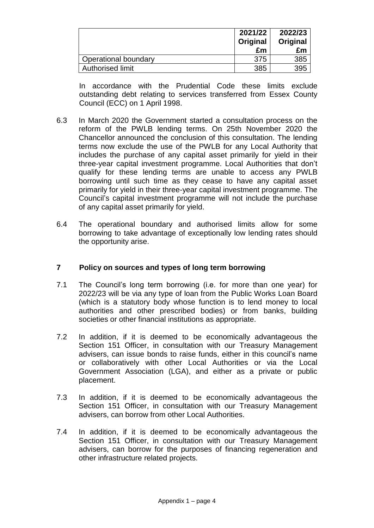|                      | 2021/22<br>Original<br>£m | 2022/23<br>Original<br>£m |
|----------------------|---------------------------|---------------------------|
| Operational boundary | 375                       | 385                       |
| Authorised limit     | 385                       | 395                       |

In accordance with the Prudential Code these limits exclude outstanding debt relating to services transferred from Essex County Council (ECC) on 1 April 1998.

- 6.3 In March 2020 the Government started a consultation process on the reform of the PWLB lending terms. On 25th November 2020 the Chancellor announced the conclusion of this consultation. The lending terms now exclude the use of the PWLB for any Local Authority that includes the purchase of any capital asset primarily for yield in their three-year capital investment programme. Local Authorities that don't qualify for these lending terms are unable to access any PWLB borrowing until such time as they cease to have any capital asset primarily for yield in their three-year capital investment programme. The Council's capital investment programme will not include the purchase of any capital asset primarily for yield.
- 6.4 The operational boundary and authorised limits allow for some borrowing to take advantage of exceptionally low lending rates should the opportunity arise.

## **7 Policy on sources and types of long term borrowing**

- 7.1 The Council's long term borrowing (i.e. for more than one year) for 2022/23 will be via any type of loan from the Public Works Loan Board (which is a statutory body whose function is to lend money to local authorities and other prescribed bodies) or from banks, building societies or other financial institutions as appropriate.
- 7.2 In addition, if it is deemed to be economically advantageous the Section 151 Officer, in consultation with our Treasury Management advisers, can issue bonds to raise funds, either in this council's name or collaboratively with other Local Authorities or via the Local Government Association (LGA), and either as a private or public placement.
- 7.3 In addition, if it is deemed to be economically advantageous the Section 151 Officer, in consultation with our Treasury Management advisers, can borrow from other Local Authorities.
- 7.4 In addition, if it is deemed to be economically advantageous the Section 151 Officer, in consultation with our Treasury Management advisers, can borrow for the purposes of financing regeneration and other infrastructure related projects.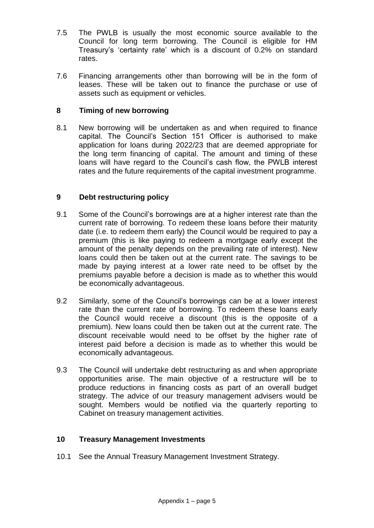- 7.5 The PWLB is usually the most economic source available to the Council for long term borrowing. The Council is eligible for HM Treasury's 'certainty rate' which is a discount of 0.2% on standard rates.
- 7.6 Financing arrangements other than borrowing will be in the form of leases. These will be taken out to finance the purchase or use of assets such as equipment or vehicles.

## **8 Timing of new borrowing**

8.1 New borrowing will be undertaken as and when required to finance capital. The Council's Section 151 Officer is authorised to make application for loans during 2022/23 that are deemed appropriate for the long term financing of capital. The amount and timing of these loans will have regard to the Council's cash flow, the PWLB interest rates and the future requirements of the capital investment programme.

# **9 Debt restructuring policy**

- 9.1 Some of the Council's borrowings are at a higher interest rate than the current rate of borrowing. To redeem these loans before their maturity date (i.e. to redeem them early) the Council would be required to pay a premium (this is like paying to redeem a mortgage early except the amount of the penalty depends on the prevailing rate of interest). New loans could then be taken out at the current rate. The savings to be made by paying interest at a lower rate need to be offset by the premiums payable before a decision is made as to whether this would be economically advantageous.
- 9.2 Similarly, some of the Council's borrowings can be at a lower interest rate than the current rate of borrowing. To redeem these loans early the Council would receive a discount (this is the opposite of a premium). New loans could then be taken out at the current rate. The discount receivable would need to be offset by the higher rate of interest paid before a decision is made as to whether this would be economically advantageous.
- 9.3 The Council will undertake debt restructuring as and when appropriate opportunities arise. The main objective of a restructure will be to produce reductions in financing costs as part of an overall budget strategy. The advice of our treasury management advisers would be sought. Members would be notified via the quarterly reporting to Cabinet on treasury management activities.

# **10 Treasury Management Investments**

10.1 See the Annual Treasury Management Investment Strategy.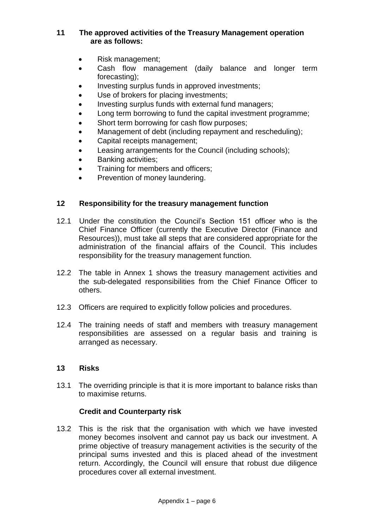## **11 The approved activities of the Treasury Management operation are as follows:**

- Risk management;
- Cash flow management (daily balance and longer term forecasting);
- Investing surplus funds in approved investments;
- Use of brokers for placing investments;
- Investing surplus funds with external fund managers;
- Long term borrowing to fund the capital investment programme;
- Short term borrowing for cash flow purposes;
- Management of debt (including repayment and rescheduling);
- Capital receipts management;
- Leasing arrangements for the Council (including schools);
- Banking activities;
- Training for members and officers:
- Prevention of money laundering.

## **12 Responsibility for the treasury management function**

- 12.1 Under the constitution the Council's Section 151 officer who is the Chief Finance Officer (currently the Executive Director (Finance and Resources)), must take all steps that are considered appropriate for the administration of the financial affairs of the Council. This includes responsibility for the treasury management function.
- 12.2 The table in Annex 1 shows the treasury management activities and the sub-delegated responsibilities from the Chief Finance Officer to others.
- 12.3 Officers are required to explicitly follow policies and procedures.
- 12.4 The training needs of staff and members with treasury management responsibilities are assessed on a regular basis and training is arranged as necessary.

## **13 Risks**

13.1 The overriding principle is that it is more important to balance risks than to maximise returns.

## **Credit and Counterparty risk**

13.2 This is the risk that the organisation with which we have invested money becomes insolvent and cannot pay us back our investment. A prime objective of treasury management activities is the security of the principal sums invested and this is placed ahead of the investment return. Accordingly, the Council will ensure that robust due diligence procedures cover all external investment.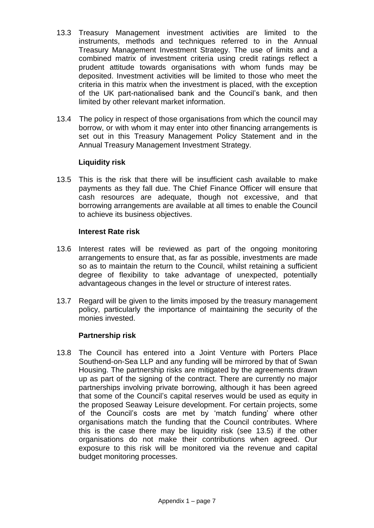- 13.3 Treasury Management investment activities are limited to the instruments, methods and techniques referred to in the Annual Treasury Management Investment Strategy. The use of limits and a combined matrix of investment criteria using credit ratings reflect a prudent attitude towards organisations with whom funds may be deposited. Investment activities will be limited to those who meet the criteria in this matrix when the investment is placed, with the exception of the UK part-nationalised bank and the Council's bank, and then limited by other relevant market information.
- 13.4 The policy in respect of those organisations from which the council may borrow, or with whom it may enter into other financing arrangements is set out in this Treasury Management Policy Statement and in the Annual Treasury Management Investment Strategy.

## **Liquidity risk**

13.5 This is the risk that there will be insufficient cash available to make payments as they fall due. The Chief Finance Officer will ensure that cash resources are adequate, though not excessive, and that borrowing arrangements are available at all times to enable the Council to achieve its business objectives.

# **Interest Rate risk**

- 13.6 Interest rates will be reviewed as part of the ongoing monitoring arrangements to ensure that, as far as possible, investments are made so as to maintain the return to the Council, whilst retaining a sufficient degree of flexibility to take advantage of unexpected, potentially advantageous changes in the level or structure of interest rates.
- 13.7 Regard will be given to the limits imposed by the treasury management policy, particularly the importance of maintaining the security of the monies invested.

# **Partnership risk**

13.8 The Council has entered into a Joint Venture with Porters Place Southend-on-Sea LLP and any funding will be mirrored by that of Swan Housing. The partnership risks are mitigated by the agreements drawn up as part of the signing of the contract. There are currently no major partnerships involving private borrowing, although it has been agreed that some of the Council's capital reserves would be used as equity in the proposed Seaway Leisure development. For certain projects, some of the Council's costs are met by 'match funding' where other organisations match the funding that the Council contributes. Where this is the case there may be liquidity risk (see 13.5) if the other organisations do not make their contributions when agreed. Our exposure to this risk will be monitored via the revenue and capital budget monitoring processes.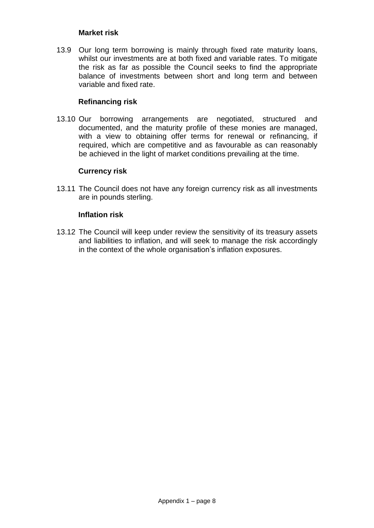#### **Market risk**

13.9 Our long term borrowing is mainly through fixed rate maturity loans, whilst our investments are at both fixed and variable rates. To mitigate the risk as far as possible the Council seeks to find the appropriate balance of investments between short and long term and between variable and fixed rate.

## **Refinancing risk**

13.10 Our borrowing arrangements are negotiated, structured and documented, and the maturity profile of these monies are managed, with a view to obtaining offer terms for renewal or refinancing, if required, which are competitive and as favourable as can reasonably be achieved in the light of market conditions prevailing at the time.

## **Currency risk**

13.11 The Council does not have any foreign currency risk as all investments are in pounds sterling.

#### **Inflation risk**

13.12 The Council will keep under review the sensitivity of its treasury assets and liabilities to inflation, and will seek to manage the risk accordingly in the context of the whole organisation's inflation exposures.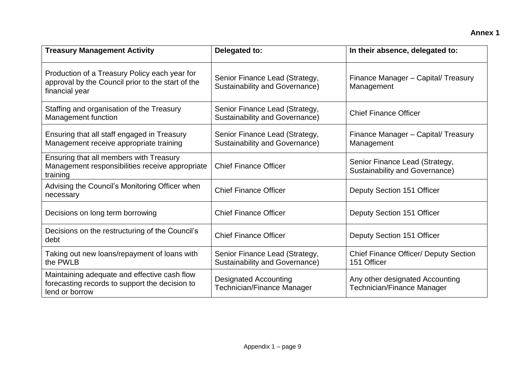| <b>Treasury Management Activity</b>                                                                                  | Delegated to:                                                           | In their absence, delegated to:                                         |  |
|----------------------------------------------------------------------------------------------------------------------|-------------------------------------------------------------------------|-------------------------------------------------------------------------|--|
| Production of a Treasury Policy each year for<br>approval by the Council prior to the start of the<br>financial year | Senior Finance Lead (Strategy,<br>Sustainability and Governance)        | Finance Manager - Capital/ Treasury<br>Management                       |  |
| Staffing and organisation of the Treasury<br>Management function                                                     | Senior Finance Lead (Strategy,<br><b>Sustainability and Governance)</b> | <b>Chief Finance Officer</b>                                            |  |
| Ensuring that all staff engaged in Treasury<br>Management receive appropriate training                               | Senior Finance Lead (Strategy,<br><b>Sustainability and Governance)</b> | Finance Manager - Capital/ Treasury<br>Management                       |  |
| Ensuring that all members with Treasury<br>Management responsibilities receive appropriate<br>training               | <b>Chief Finance Officer</b>                                            | Senior Finance Lead (Strategy,<br><b>Sustainability and Governance)</b> |  |
| Advising the Council's Monitoring Officer when<br>necessary                                                          | <b>Chief Finance Officer</b>                                            | Deputy Section 151 Officer                                              |  |
| Decisions on long term borrowing                                                                                     | <b>Chief Finance Officer</b>                                            | Deputy Section 151 Officer                                              |  |
| Decisions on the restructuring of the Council's<br>debt                                                              | <b>Chief Finance Officer</b>                                            | Deputy Section 151 Officer                                              |  |
| Taking out new loans/repayment of loans with<br>the PWLB                                                             | Senior Finance Lead (Strategy,<br><b>Sustainability and Governance)</b> | <b>Chief Finance Officer/ Deputy Section</b><br>151 Officer             |  |
| Maintaining adequate and effective cash flow<br>forecasting records to support the decision to<br>lend or borrow     | <b>Designated Accounting</b><br>Technician/Finance Manager              | Any other designated Accounting<br>Technician/Finance Manager           |  |